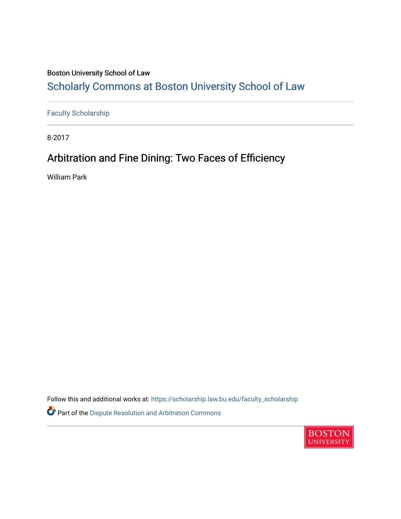## Boston University School of Law [Scholarly Commons at Boston University School of Law](https://scholarship.law.bu.edu/)

[Faculty Scholarship](https://scholarship.law.bu.edu/faculty_scholarship)

8-2017

## Arbitration and Fine Dining: Two Faces of Efficiency

William Park

Follow this and additional works at: [https://scholarship.law.bu.edu/faculty\\_scholarship](https://scholarship.law.bu.edu/faculty_scholarship?utm_source=scholarship.law.bu.edu%2Ffaculty_scholarship%2F796&utm_medium=PDF&utm_campaign=PDFCoverPages) Part of the [Dispute Resolution and Arbitration Commons](http://network.bepress.com/hgg/discipline/890?utm_source=scholarship.law.bu.edu%2Ffaculty_scholarship%2F796&utm_medium=PDF&utm_campaign=PDFCoverPages) 

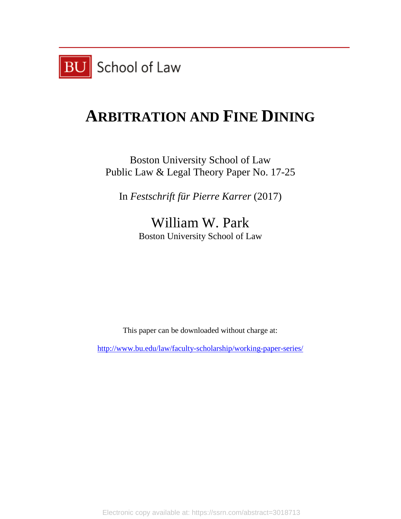

# **ARBITRATION AND FINE DINING**

Boston University School of Law Public Law & Legal Theory Paper No. 17-25

In *Festschrift für Pierre Karrer* (2017)

William W. Park Boston University School of Law

This paper can be downloaded without charge at:

<http://www.bu.edu/law/faculty-scholarship/working-paper-series/>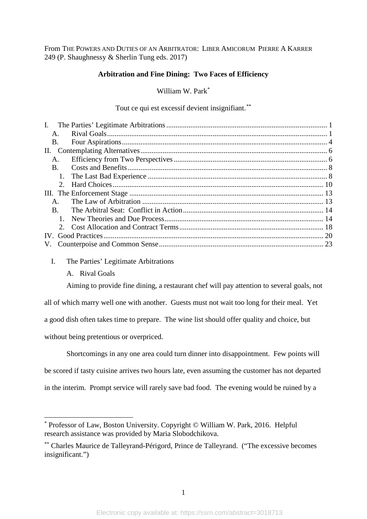From THE POWERS AND DUTIES OF AN ARBITRATOR: LIBER AMICORUM PIERRE A KARRER 249 (P. Shaughnessy & Sherlin Tung eds. 2017)

#### **Arbitration and Fine Dining: Two Faces of Efficiency**

William W. Park[\\*](#page-2-2)

Tout ce qui est excessif devient insignifiant.<sup>\*\*</sup>

| $\mathbf{I}$ . |         |  |
|----------------|---------|--|
| $A_{\cdot}$    |         |  |
| <b>B.</b>      |         |  |
|                |         |  |
| A.             |         |  |
| $B_{\cdot}$    |         |  |
|                |         |  |
|                | $2^{+}$ |  |
|                |         |  |
| A.             |         |  |
| $\mathbf{B}$ . |         |  |
|                | $1_{-}$ |  |
|                |         |  |
|                |         |  |
|                |         |  |
|                |         |  |

- <span id="page-2-1"></span><span id="page-2-0"></span>I. The Parties' Legitimate Arbitrations
	- A. Rival Goals

Aiming to provide fine dining, a restaurant chef will pay attention to several goals, not

all of which marry well one with another. Guests must not wait too long for their meal. Yet

a good dish often takes time to prepare. The wine list should offer quality and choice, but

without being pretentious or overpriced.

Shortcomings in any one area could turn dinner into disappointment. Few points will

be scored if tasty cuisine arrives two hours late, even assuming the customer has not departed

in the interim. Prompt service will rarely save bad food. The evening would be ruined by a

<span id="page-2-2"></span> <sup>\*</sup> Professor of Law, Boston University. Copyright © William W. Park, 2016. Helpful research assistance was provided by Maria Slobodchikova.

<span id="page-2-3"></span><sup>\*\*</sup> Charles Maurice de Talleyrand-Périgord, Prince de Talleyrand. ("The excessive becomes insignificant.")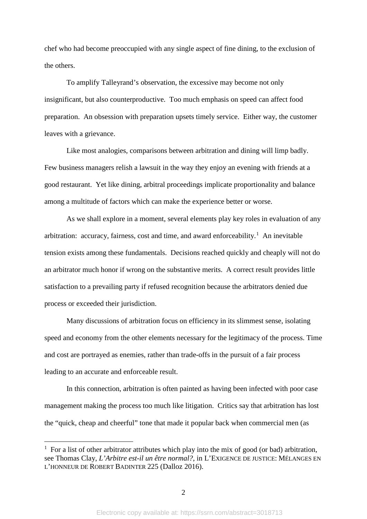chef who had become preoccupied with any single aspect of fine dining, to the exclusion of the others.

To amplify Talleyrand's observation, the excessive may become not only insignificant, but also counterproductive. Too much emphasis on speed can affect food preparation. An obsession with preparation upsets timely service. Either way, the customer leaves with a grievance.

Like most analogies, comparisons between arbitration and dining will limp badly. Few business managers relish a lawsuit in the way they enjoy an evening with friends at a good restaurant. Yet like dining, arbitral proceedings implicate proportionality and balance among a multitude of factors which can make the experience better or worse.

As we shall explore in a moment, several elements play key roles in evaluation of any arbitration: accuracy, fairness, cost and time, and award enforceability.<sup>[1](#page-3-0)</sup> An inevitable tension exists among these fundamentals. Decisions reached quickly and cheaply will not do an arbitrator much honor if wrong on the substantive merits. A correct result provides little satisfaction to a prevailing party if refused recognition because the arbitrators denied due process or exceeded their jurisdiction.

Many discussions of arbitration focus on efficiency in its slimmest sense, isolating speed and economy from the other elements necessary for the legitimacy of the process. Time and cost are portrayed as enemies, rather than trade-offs in the pursuit of a fair process leading to an accurate and enforceable result.

In this connection, arbitration is often painted as having been infected with poor case management making the process too much like litigation. Critics say that arbitration has lost the "quick, cheap and cheerful" tone that made it popular back when commercial men (as

<span id="page-3-0"></span> $\frac{1}{1}$ <sup>1</sup> For a list of other arbitrator attributes which play into the mix of good (or bad) arbitration, see Thomas Clay, *L'Arbitre est-il un être normal?*, in L'EXIGENCE DE JUSTICE: MÉLANGES EN L'HONNEUR DE ROBERT BADINTER 225 (Dalloz 2016).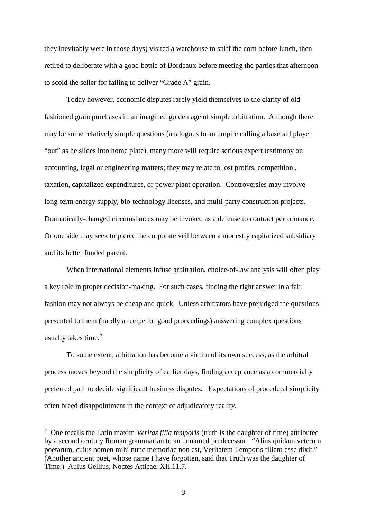they inevitably were in those days) visited a warehouse to sniff the corn before lunch, then retired to deliberate with a good bottle of Bordeaux before meeting the parties that afternoon to scold the seller for failing to deliver "Grade A" grain.

Today however, economic disputes rarely yield themselves to the clarity of oldfashioned grain purchases in an imagined golden age of simple arbitration. Although there may be some relatively simple questions (analogous to an umpire calling a baseball player "out" as he slides into home plate), many more will require serious expert testimony on accounting, legal or engineering matters; they may relate to lost profits, competition , taxation, capitalized expenditures, or power plant operation. Controversies may involve long-term energy supply, bio-technology licenses, and multi-party construction projects. Dramatically-changed circumstances may be invoked as a defense to contract performance. Or one side may seek to pierce the corporate veil between a modestly capitalized subsidiary and its better funded parent.

When international elements infuse arbitration, choice-of-law analysis will often play a key role in proper decision-making. For such cases, finding the right answer in a fair fashion may not always be cheap and quick. Unless arbitrators have prejudged the questions presented to them (hardly a recipe for good proceedings) answering complex questions usually takes time.<sup>[2](#page-4-0)</sup>

To some extent, arbitration has become a victim of its own success, as the arbitral process moves beyond the simplicity of earlier days, finding acceptance as a commercially preferred path to decide significant business disputes. Expectations of procedural simplicity often breed disappointment in the context of adjudicatory reality.

<span id="page-4-0"></span> $\frac{1}{2}$  One recalls the Latin maxim *Veritas filia temporis* (truth is the daughter of time) attributed by a second century Roman grammarian to an unnamed predecessor. "Alius quidam veterum poetarum, cuius nomen mihi nunc memoriae non est, Veritatem Temporis filiam esse dixit." (Another ancient poet, whose name I have forgotten, said that Truth was the daughter of Time.) Aulus Gellius, Noctes Atticae, XII.11.7.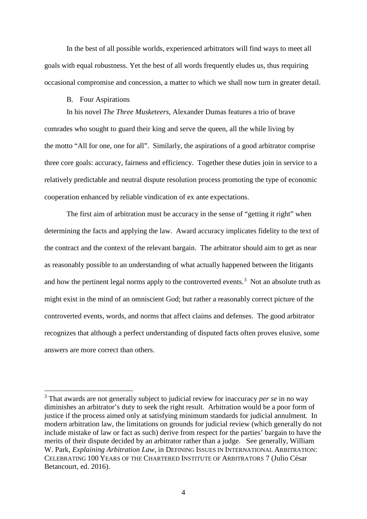In the best of all possible worlds, experienced arbitrators will find ways to meet all goals with equal robustness. Yet the best of all words frequently eludes us, thus requiring occasional compromise and concession, a matter to which we shall now turn in greater detail.

#### B. Four Aspirations

<span id="page-5-0"></span>In his novel *The Three Musketeers,* Alexander Dumas features a trio of brave comrades who sought to guard their king and serve the queen, all the while living by the motto "All for one, one for all". Similarly, the aspirations of a good arbitrator comprise three core goals: accuracy, fairness and efficiency. Together these duties join in service to a relatively predictable and neutral dispute resolution process promoting the type of economic cooperation enhanced by reliable vindication of ex ante expectations.

The first aim of arbitration must be accuracy in the sense of "getting it right" when determining the facts and applying the law. Award accuracy implicates fidelity to the text of the contract and the context of the relevant bargain. The arbitrator should aim to get as near as reasonably possible to an understanding of what actually happened between the litigants and how the pertinent legal norms apply to the controverted events.<sup>[3](#page-5-1)</sup> Not an absolute truth as might exist in the mind of an omniscient God; but rather a reasonably correct picture of the controverted events, words, and norms that affect claims and defenses. The good arbitrator recognizes that although a perfect understanding of disputed facts often proves elusive, some answers are more correct than others.

<span id="page-5-1"></span> <sup>3</sup> That awards are not generally subject to judicial review for inaccuracy *per se* in no way diminishes an arbitrator's duty to seek the right result. Arbitration would be a poor form of justice if the process aimed only at satisfying minimum standards for judicial annulment. In modern arbitration law, the limitations on grounds for judicial review (which generally do not include mistake of law or fact as such) derive from respect for the parties' bargain to have the merits of their dispute decided by an arbitrator rather than a judge. See generally, William W. Park, *Explaining Arbitration Law*, in DEFINING ISSUES IN INTERNATIONAL ARBITRATION: CELEBRATING 100 YEARS OF THE CHARTERED INSTITUTE OF ARBITRATORS 7 (Julio César Betancourt, ed. 2016).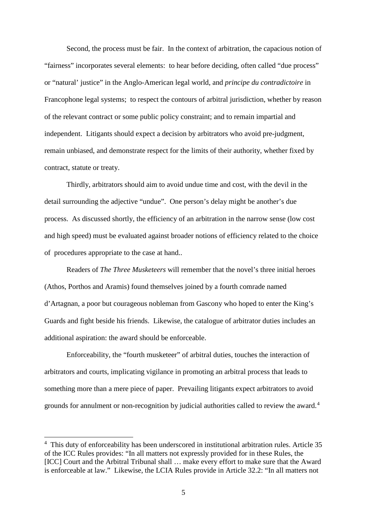Second, the process must be fair. In the context of arbitration, the capacious notion of "fairness" incorporates several elements: to hear before deciding, often called "due process" or "natural' justice" in the Anglo-American legal world, and *principe du contradictoire* in Francophone legal systems; to respect the contours of arbitral jurisdiction, whether by reason of the relevant contract or some public policy constraint; and to remain impartial and independent. Litigants should expect a decision by arbitrators who avoid pre-judgment, remain unbiased, and demonstrate respect for the limits of their authority, whether fixed by contract, statute or treaty.

Thirdly, arbitrators should aim to avoid undue time and cost, with the devil in the detail surrounding the adjective "undue". One person's delay might be another's due process. As discussed shortly, the efficiency of an arbitration in the narrow sense (low cost and high speed) must be evaluated against broader notions of efficiency related to the choice of procedures appropriate to the case at hand..

Readers of *The Three Musketeers* will remember that the novel's three initial heroes (Athos, Porthos and Aramis) found themselves joined by a fourth comrade named d'Artagnan, a poor but courageous nobleman from Gascony who hoped to enter the King's Guards and fight beside his friends. Likewise, the catalogue of arbitrator duties includes an additional aspiration: the award should be enforceable.

Enforceability, the "fourth musketeer" of arbitral duties, touches the interaction of arbitrators and courts, implicating vigilance in promoting an arbitral process that leads to something more than a mere piece of paper. Prevailing litigants expect arbitrators to avoid grounds for annulment or non-recognition by judicial authorities called to review the award.<sup>[4](#page-6-0)</sup>

<span id="page-6-0"></span> $\frac{1}{4}$  $<sup>4</sup>$  This duty of enforceability has been underscored in institutional arbitration rules. Article 35</sup> of the ICC Rules provides: "In all matters not expressly provided for in these Rules, the [ICC] Court and the Arbitral Tribunal shall ... make every effort to make sure that the Award is enforceable at law." Likewise, the LCIA Rules provide in Article 32.2: "In all matters not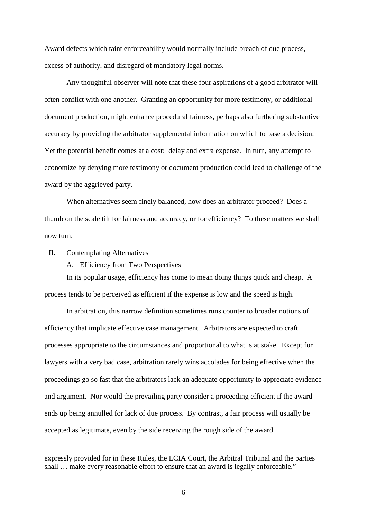Award defects which taint enforceability would normally include breach of due process, excess of authority, and disregard of mandatory legal norms.

Any thoughtful observer will note that these four aspirations of a good arbitrator will often conflict with one another. Granting an opportunity for more testimony, or additional document production, might enhance procedural fairness, perhaps also furthering substantive accuracy by providing the arbitrator supplemental information on which to base a decision. Yet the potential benefit comes at a cost: delay and extra expense. In turn, any attempt to economize by denying more testimony or document production could lead to challenge of the award by the aggrieved party.

When alternatives seem finely balanced, how does an arbitrator proceed? Does a thumb on the scale tilt for fairness and accuracy, or for efficiency? To these matters we shall now turn.

<span id="page-7-1"></span><span id="page-7-0"></span>II. Contemplating Alternatives

-

A. Efficiency from Two Perspectives

In its popular usage, efficiency has come to mean doing things quick and cheap. A process tends to be perceived as efficient if the expense is low and the speed is high.

In arbitration, this narrow definition sometimes runs counter to broader notions of efficiency that implicate effective case management. Arbitrators are expected to craft processes appropriate to the circumstances and proportional to what is at stake. Except for lawyers with a very bad case, arbitration rarely wins accolades for being effective when the proceedings go so fast that the arbitrators lack an adequate opportunity to appreciate evidence and argument. Nor would the prevailing party consider a proceeding efficient if the award ends up being annulled for lack of due process. By contrast, a fair process will usually be accepted as legitimate, even by the side receiving the rough side of the award.

expressly provided for in these Rules, the LCIA Court, the Arbitral Tribunal and the parties shall … make every reasonable effort to ensure that an award is legally enforceable."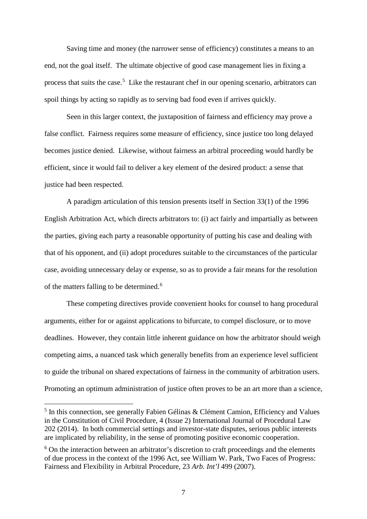Saving time and money (the narrower sense of efficiency) constitutes a means to an end, not the goal itself. The ultimate objective of good case management lies in fixing a process that suits the case.<sup>[5](#page-8-0)</sup> Like the restaurant chef in our opening scenario, arbitrators can spoil things by acting so rapidly as to serving bad food even if arrives quickly.

Seen in this larger context, the juxtaposition of fairness and efficiency may prove a false conflict. Fairness requires some measure of efficiency, since justice too long delayed becomes justice denied. Likewise, without fairness an arbitral proceeding would hardly be efficient, since it would fail to deliver a key element of the desired product: a sense that justice had been respected.

A paradigm articulation of this tension presents itself in Section 33(1) of the 1996 English Arbitration Act, which directs arbitrators to: (i) act fairly and impartially as between the parties, giving each party a reasonable opportunity of putting his case and dealing with that of his opponent, and (ii) adopt procedures suitable to the circumstances of the particular case, avoiding unnecessary delay or expense, so as to provide a fair means for the resolution of the matters falling to be determined.<sup>[6](#page-8-1)</sup>

These competing directives provide convenient hooks for counsel to hang procedural arguments, either for or against applications to bifurcate, to compel disclosure, or to move deadlines. However, they contain little inherent guidance on how the arbitrator should weigh competing aims, a nuanced task which generally benefits from an experience level sufficient to guide the tribunal on shared expectations of fairness in the community of arbitration users. Promoting an optimum administration of justice often proves to be an art more than a science,

<span id="page-8-0"></span> $<sup>5</sup>$  In this connection, see generally Fabien Gélinas & Clément Camion, Efficiency and Values</sup> in the Constitution of Civil Procedure, 4 (Issue 2) International Journal of Procedural Law 202 (2014). In both commercial settings and investor-state disputes, serious public interests are implicated by reliability, in the sense of promoting positive economic cooperation.

<span id="page-8-1"></span> $6$  On the interaction between an arbitrator's discretion to craft proceedings and the elements of due process in the context of the 1996 Act, see William W. Park, Two Faces of Progress: Fairness and Flexibility in Arbitral Procedure, 23 *Arb. Int'l* 499 (2007).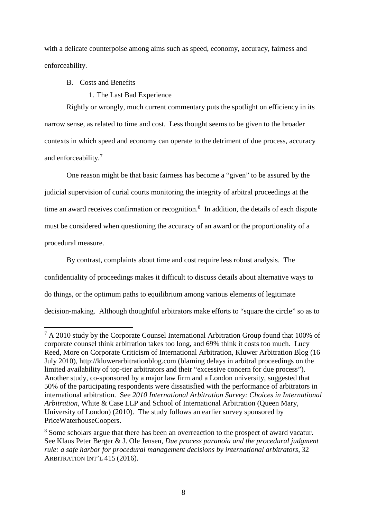with a delicate counterpoise among aims such as speed, economy, accuracy, fairness and enforceability.

<span id="page-9-0"></span>B. Costs and Benefits

1. The Last Bad Experience

<span id="page-9-1"></span>Rightly or wrongly, much current commentary puts the spotlight on efficiency in its narrow sense, as related to time and cost. Less thought seems to be given to the broader contexts in which speed and economy can operate to the detriment of due process, accuracy and enforceability. [7](#page-9-2)

One reason might be that basic fairness has become a "given" to be assured by the judicial supervision of curial courts monitoring the integrity of arbitral proceedings at the time an award receives confirmation or recognition.<sup>[8](#page-9-3)</sup> In addition, the details of each dispute must be considered when questioning the accuracy of an award or the proportionality of a procedural measure.

By contrast, complaints about time and cost require less robust analysis. The confidentiality of proceedings makes it difficult to discuss details about alternative ways to do things, or the optimum paths to equilibrium among various elements of legitimate decision-making. Although thoughtful arbitrators make efforts to "square the circle" so as to

<span id="page-9-2"></span> $7 A 2010$  study by the Corporate Counsel International Arbitration Group found that 100% of corporate counsel think arbitration takes too long, and 69% think it costs too much. Lucy Reed, More on Corporate Criticism of International Arbitration, Kluwer Arbitration Blog (16 July 2010), http://kluwerarbitrationblog.com (blaming delays in arbitral proceedings on the limited availability of top-tier arbitrators and their "excessive concern for due process"). Another study, co-sponsored by a major law firm and a London university, suggested that 50% of the participating respondents were dissatisfied with the performance of arbitrators in international arbitration. See *2010 International Arbitration Survey: Choices in International Arbitration*, White & Case LLP and School of International Arbitration (Queen Mary, University of London) (2010). The study follows an earlier survey sponsored by PriceWaterhouseCoopers.

<span id="page-9-3"></span><sup>&</sup>lt;sup>8</sup> Some scholars argue that there has been an overreaction to the prospect of award vacatur. See Klaus Peter Berger & J. Ole Jensen, *Due process paranoia and the procedural judgment rule: a safe harbor for procedural management decisions by international arbitrators*, 32 ARBITRATION INT'L 415 (2016).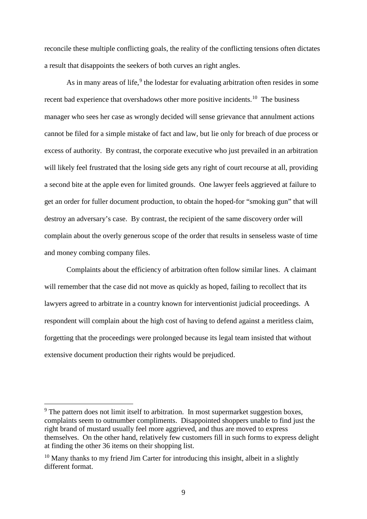reconcile these multiple conflicting goals, the reality of the conflicting tensions often dictates a result that disappoints the seekers of both curves an right angles.

As in many areas of life, $9$  the lodestar for evaluating arbitration often resides in some recent bad experience that overshadows other more positive incidents.<sup>[10](#page-10-1)</sup> The business manager who sees her case as wrongly decided will sense grievance that annulment actions cannot be filed for a simple mistake of fact and law, but lie only for breach of due process or excess of authority. By contrast, the corporate executive who just prevailed in an arbitration will likely feel frustrated that the losing side gets any right of court recourse at all, providing a second bite at the apple even for limited grounds. One lawyer feels aggrieved at failure to get an order for fuller document production, to obtain the hoped-for "smoking gun" that will destroy an adversary's case. By contrast, the recipient of the same discovery order will complain about the overly generous scope of the order that results in senseless waste of time and money combing company files.

Complaints about the efficiency of arbitration often follow similar lines. A claimant will remember that the case did not move as quickly as hoped, failing to recollect that its lawyers agreed to arbitrate in a country known for interventionist judicial proceedings. A respondent will complain about the high cost of having to defend against a meritless claim, forgetting that the proceedings were prolonged because its legal team insisted that without extensive document production their rights would be prejudiced.

<span id="page-10-0"></span><sup>&</sup>lt;sup>9</sup> The pattern does not limit itself to arbitration. In most supermarket suggestion boxes, complaints seem to outnumber compliments. Disappointed shoppers unable to find just the right brand of mustard usually feel more aggrieved, and thus are moved to express themselves. On the other hand, relatively few customers fill in such forms to express delight at finding the other 36 items on their shopping list.

<span id="page-10-1"></span><sup>&</sup>lt;sup>10</sup> Many thanks to my friend Jim Carter for introducing this insight, albeit in a slightly different format.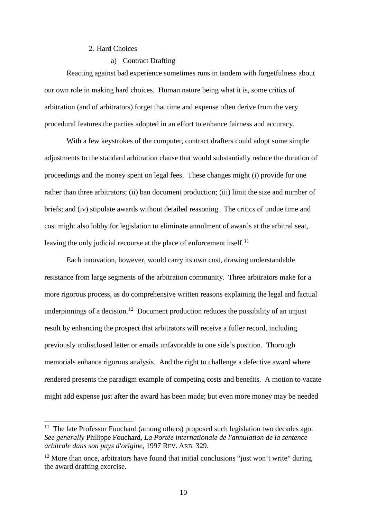#### 2. Hard Choices

#### a) Contract Drafting

<span id="page-11-0"></span>Reacting against bad experience sometimes runs in tandem with forgetfulness about our own role in making hard choices. Human nature being what it is, some critics of arbitration (and of arbitrators) forget that time and expense often derive from the very procedural features the parties adopted in an effort to enhance fairness and accuracy.

With a few keystrokes of the computer, contract drafters could adopt some simple adjustments to the standard arbitration clause that would substantially reduce the duration of proceedings and the money spent on legal fees. These changes might (i) provide for one rather than three arbitrators; (ii) ban document production; (iii) limit the size and number of briefs; and (iv) stipulate awards without detailed reasoning. The critics of undue time and cost might also lobby for legislation to eliminate annulment of awards at the arbitral seat, leaving the only judicial recourse at the place of enforcement itself.<sup>[11](#page-11-1)</sup>

Each innovation, however, would carry its own cost, drawing understandable resistance from large segments of the arbitration community. Three arbitrators make for a more rigorous process, as do comprehensive written reasons explaining the legal and factual underpinnings of a decision.<sup>12</sup> Document production reduces the possibility of an unjust result by enhancing the prospect that arbitrators will receive a fuller record, including previously undisclosed letter or emails unfavorable to one side's position. Thorough memorials enhance rigorous analysis. And the right to challenge a defective award where rendered presents the paradigm example of competing costs and benefits. A motion to vacate might add expense just after the award has been made; but even more money may be needed

<span id="page-11-1"></span> $11$  The late Professor Fouchard (among others) proposed such legislation two decades ago. *See generally* Philippe Fouchard, *La Portée internationale de l'annulation de la sentence arbitrale dans son pays d'origine*, 1997 REV. ARB. 329.

<span id="page-11-2"></span> $12$  More than once, arbitrators have found that initial conclusions "just won't write" during the award drafting exercise.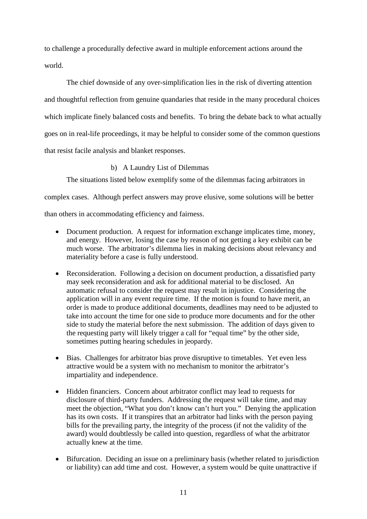to challenge a procedurally defective award in multiple enforcement actions around the world.

The chief downside of any over-simplification lies in the risk of diverting attention and thoughtful reflection from genuine quandaries that reside in the many procedural choices which implicate finely balanced costs and benefits. To bring the debate back to what actually goes on in real-life proceedings, it may be helpful to consider some of the common questions that resist facile analysis and blanket responses.

### b) A Laundry List of Dilemmas

The situations listed below exemplify some of the dilemmas facing arbitrators in

complex cases. Although perfect answers may prove elusive, some solutions will be better

than others in accommodating efficiency and fairness.

- Document production. A request for information exchange implicates time, money, and energy. However, losing the case by reason of not getting a key exhibit can be much worse. The arbitrator's dilemma lies in making decisions about relevancy and materiality before a case is fully understood.
- Reconsideration. Following a decision on document production, a dissatisfied party may seek reconsideration and ask for additional material to be disclosed. An automatic refusal to consider the request may result in injustice. Considering the application will in any event require time. If the motion is found to have merit, an order is made to produce additional documents, deadlines may need to be adjusted to take into account the time for one side to produce more documents and for the other side to study the material before the next submission. The addition of days given to the requesting party will likely trigger a call for "equal time" by the other side, sometimes putting hearing schedules in jeopardy.
- Bias. Challenges for arbitrator bias prove disruptive to timetables. Yet even less attractive would be a system with no mechanism to monitor the arbitrator's impartiality and independence.
- Hidden financiers. Concern about arbitrator conflict may lead to requests for disclosure of third-party funders. Addressing the request will take time, and may meet the objection, "What you don't know can't hurt you." Denying the application has its own costs. If it transpires that an arbitrator had links with the person paying bills for the prevailing party, the integrity of the process (if not the validity of the award) would doubtlessly be called into question, regardless of what the arbitrator actually knew at the time.
- Bifurcation. Deciding an issue on a preliminary basis (whether related to jurisdiction or liability) can add time and cost. However, a system would be quite unattractive if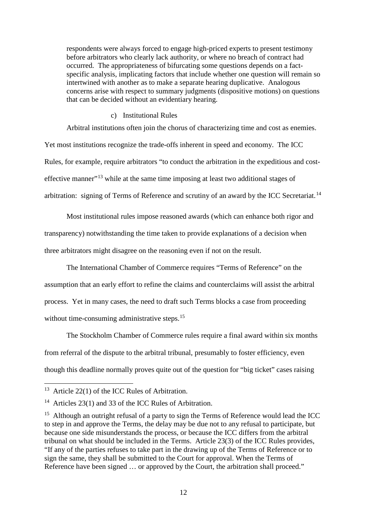respondents were always forced to engage high-priced experts to present testimony before arbitrators who clearly lack authority, or where no breach of contract had occurred. The appropriateness of bifurcating some questions depends on a factspecific analysis, implicating factors that include whether one question will remain so intertwined with another as to make a separate hearing duplicative. Analogous concerns arise with respect to summary judgments (dispositive motions) on questions that can be decided without an evidentiary hearing.

#### c) Institutional Rules

Arbitral institutions often join the chorus of characterizing time and cost as enemies. Yet most institutions recognize the trade-offs inherent in speed and economy. The ICC Rules, for example, require arbitrators "to conduct the arbitration in the expeditious and costeffective manner"[13](#page-13-0) while at the same time imposing at least two additional stages of arbitration: signing of Terms of Reference and scrutiny of an award by the ICC Secretariat.<sup>[14](#page-13-1)</sup>

Most institutional rules impose reasoned awards (which can enhance both rigor and transparency) notwithstanding the time taken to provide explanations of a decision when three arbitrators might disagree on the reasoning even if not on the result.

The International Chamber of Commerce requires "Terms of Reference" on the assumption that an early effort to refine the claims and counterclaims will assist the arbitral process. Yet in many cases, the need to draft such Terms blocks a case from proceeding without time-consuming administrative steps.<sup>[15](#page-13-2)</sup>

The Stockholm Chamber of Commerce rules require a final award within six months from referral of the dispute to the arbitral tribunal, presumably to foster efficiency, even though this deadline normally proves quite out of the question for "big ticket" cases raising

<span id="page-13-0"></span> $13$  Article 22(1) of the ICC Rules of Arbitration.

<span id="page-13-1"></span><sup>&</sup>lt;sup>14</sup> Articles 23(1) and 33 of the ICC Rules of Arbitration.

<span id="page-13-2"></span><sup>&</sup>lt;sup>15</sup> Although an outright refusal of a party to sign the Terms of Reference would lead the ICC to step in and approve the Terms, the delay may be due not to any refusal to participate, but because one side misunderstands the process, or because the ICC differs from the arbitral tribunal on what should be included in the Terms. Article 23(3) of the ICC Rules provides, "If any of the parties refuses to take part in the drawing up of the Terms of Reference or to sign the same, they shall be submitted to the Court for approval. When the Terms of Reference have been signed ... or approved by the Court, the arbitration shall proceed."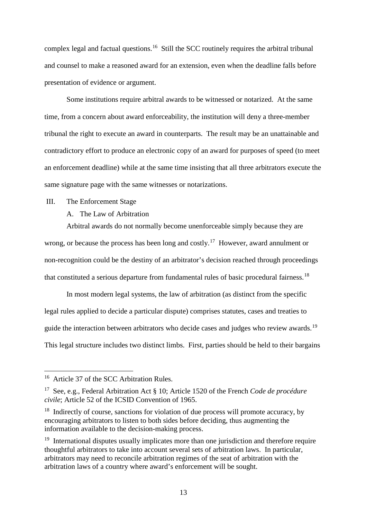complex legal and factual questions.<sup>16</sup> Still the SCC routinely requires the arbitral tribunal and counsel to make a reasoned award for an extension, even when the deadline falls before presentation of evidence or argument.

Some institutions require arbitral awards to be witnessed or notarized. At the same time, from a concern about award enforceability, the institution will deny a three-member tribunal the right to execute an award in counterparts. The result may be an unattainable and contradictory effort to produce an electronic copy of an award for purposes of speed (to meet an enforcement deadline) while at the same time insisting that all three arbitrators execute the same signature page with the same witnesses or notarizations.

<span id="page-14-1"></span><span id="page-14-0"></span>III. The Enforcement Stage

A. The Law of Arbitration

Arbitral awards do not normally become unenforceable simply because they are wrong, or because the process has been long and costly.<sup>17</sup> However, award annulment or non-recognition could be the destiny of an arbitrator's decision reached through proceedings that constituted a serious departure from fundamental rules of basic procedural fairness.<sup>18</sup>

In most modern legal systems, the law of arbitration (as distinct from the specific legal rules applied to decide a particular dispute) comprises statutes, cases and treaties to guide the interaction between arbitrators who decide cases and judges who review awards.<sup>[19](#page-14-5)</sup> This legal structure includes two distinct limbs. First, parties should be held to their bargains

<span id="page-14-2"></span><sup>&</sup>lt;sup>16</sup> Article 37 of the SCC Arbitration Rules.

<span id="page-14-3"></span><sup>17</sup> See, e.g., Federal Arbitration Act § 10; Article 1520 of the French *Code de procédure civile*; Article 52 of the ICSID Convention of 1965.

<span id="page-14-4"></span><sup>&</sup>lt;sup>18</sup> Indirectly of course, sanctions for violation of due process will promote accuracy, by encouraging arbitrators to listen to both sides before deciding, thus augmenting the information available to the decision-making process.

<span id="page-14-5"></span><sup>&</sup>lt;sup>19</sup> International disputes usually implicates more than one jurisdiction and therefore require thoughtful arbitrators to take into account several sets of arbitration laws. In particular, arbitrators may need to reconcile arbitration regimes of the seat of arbitration with the arbitration laws of a country where award's enforcement will be sought.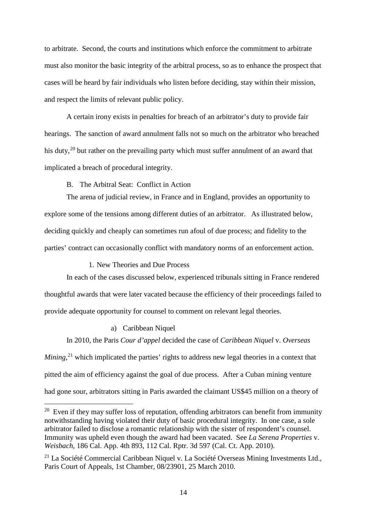to arbitrate. Second, the courts and institutions which enforce the commitment to arbitrate must also monitor the basic integrity of the arbitral process, so as to enhance the prospect that cases will be heard by fair individuals who listen before deciding, stay within their mission, and respect the limits of relevant public policy.

A certain irony exists in penalties for breach of an arbitrator's duty to provide fair hearings. The sanction of award annulment falls not so much on the arbitrator who breached his duty,<sup>[20](#page-15-2)</sup> but rather on the prevailing party which must suffer annulment of an award that implicated a breach of procedural integrity.

B. The Arbitral Seat: Conflict in Action

<span id="page-15-0"></span>The arena of judicial review, in France and in England, provides an opportunity to explore some of the tensions among different duties of an arbitrator. As illustrated below, deciding quickly and cheaply can sometimes run afoul of due process; and fidelity to the parties' contract can occasionally conflict with mandatory norms of an enforcement action.

1. New Theories and Due Process

<span id="page-15-1"></span>In each of the cases discussed below, experienced tribunals sitting in France rendered thoughtful awards that were later vacated because the efficiency of their proceedings failed to provide adequate opportunity for counsel to comment on relevant legal theories.

a) Caribbean Niquel

In 2010, the Paris *Cour d'appel* decided the case of *Caribbean Niquel* v. *Overseas Mining*<sup>[21](#page-15-3)</sup> which implicated the parties' rights to address new legal theories in a context that

pitted the aim of efficiency against the goal of due process. After a Cuban mining venture

had gone sour, arbitrators sitting in Paris awarded the claimant US\$45 million on a theory of

<span id="page-15-2"></span> $20$  Even if they may suffer loss of reputation, offending arbitrators can benefit from immunity notwithstanding having violated their duty of basic procedural integrity. In one case, a sole arbitrator failed to disclose a romantic relationship with the sister of respondent's counsel. Immunity was upheld even though the award had been vacated. See *La Serena Properties* v. *Weisbach*, 186 Cal. App. 4th 893, 112 Cal. Rptr. 3d 597 (Cal. Ct. App. 2010).

<span id="page-15-3"></span><sup>21</sup> La Société Commercial Caribbean Niquel v. La Société Overseas Mining Investments Ltd., Paris Court of Appeals, 1st Chamber, 08/23901, 25 March 2010.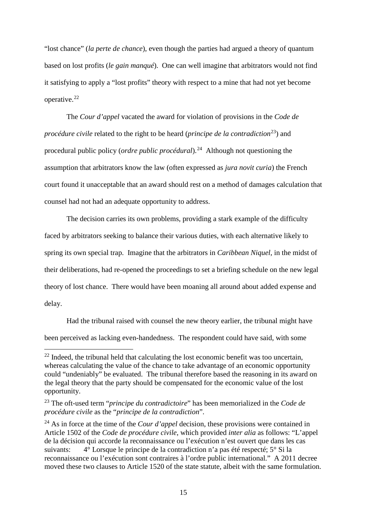"lost chance" (*la perte de chance*), even though the parties had argued a theory of quantum based on lost profits (*le gain manqué*). One can well imagine that arbitrators would not find it satisfying to apply a "lost profits" theory with respect to a mine that had not yet become operative.[22](#page-16-0)

The *Cour d'appel* vacated the award for violation of provisions in the *Code de procédure civile* related to the right to be heard (*principe de la contradiction*<sup>23</sup>) and procedural public policy (*ordre public procédural*).[24](#page-16-2) Although not questioning the assumption that arbitrators know the law (often expressed as *jura novit curia*) the French court found it unacceptable that an award should rest on a method of damages calculation that counsel had not had an adequate opportunity to address.

The decision carries its own problems, providing a stark example of the difficulty faced by arbitrators seeking to balance their various duties, with each alternative likely to spring its own special trap. Imagine that the arbitrators in *Caribbean Niquel*, in the midst of their deliberations, had re-opened the proceedings to set a briefing schedule on the new legal theory of lost chance. There would have been moaning all around about added expense and delay.

Had the tribunal raised with counsel the new theory earlier, the tribunal might have been perceived as lacking even-handedness. The respondent could have said, with some

<span id="page-16-0"></span> $22$  Indeed, the tribunal held that calculating the lost economic benefit was too uncertain, whereas calculating the value of the chance to take advantage of an economic opportunity could "undeniably" be evaluated. The tribunal therefore based the reasoning in its award on the legal theory that the party should be compensated for the economic value of the lost opportunity.

<span id="page-16-1"></span><sup>23</sup> The oft-used term "*principe du contradictoire*" has been memorialized in the *Code de procédure civile* as the "*principe de la contradiction*".

<span id="page-16-2"></span><sup>24</sup> As in force at the time of the *Cour d'appel* decision, these provisions were contained in Article 1502 of the *Code de procédure civile*, which provided *inter alia* as follows: "L'appel de la décision qui accorde la reconnaissance ou l'exécution n'est ouvert que dans les cas suivants: 4° Lorsque le principe de la contradiction n'a pas été respecté; 5° Si la reconnaissance ou l'exécution sont contraires à l'ordre public international." A 2011 decree moved these two clauses to Article 1520 of the state statute, albeit with the same formulation.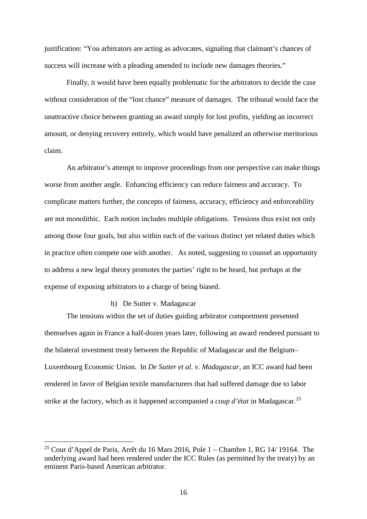justification: "You arbitrators are acting as advocates, signaling that claimant's chances of success will increase with a pleading amended to include new damages theories."

Finally, it would have been equally problematic for the arbitrators to decide the case without consideration of the "lost chance" measure of damages. The tribunal would face the unattractive choice between granting an award simply for lost profits, yielding an incorrect amount, or denying recovery entirely, which would have penalized an otherwise meritorious claim.

An arbitrator's attempt to improve proceedings from one perspective can make things worse from another angle. Enhancing efficiency can reduce fairness and accuracy. To complicate matters further, the concepts of fairness, accuracy, efficiency and enforceability are not monolithic. Each notion includes multiple obligations. Tensions thus exist not only among those four goals, but also within each of the various distinct yet related duties which in practice often compete one with another. As noted, suggesting to counsel an opportunity to address a new legal theory promotes the parties' right to be heard, but perhaps at the expense of exposing arbitrators to a charge of being biased.

#### b) De Sutter v. Madagascar

The tensions within the set of duties guiding arbitrator comportment presented themselves again in France a half-dozen years later, following an award rendered pursuant to the bilateral investment treaty between the Republic of Madagascar and the Belgium– Luxembourg Economic Union. In *De Sutter et al. [v. Madagascar](http://www.italaw.com/sites/default/files/case-documents/italaw7208.pdf)*, an ICC award had been rendered in favor of Belgian textile manufacturers that had suffered damage due to labor strike at the factory, which as it happened accompanied a *coup d'état* in Madagascar.[25](#page-17-0)

<span id="page-17-0"></span><sup>&</sup>lt;sup>25</sup> Cour d'Appel de Paris, Arrêt du 16 Mars 2016, Pole  $1 -$ Chambre 1, RG 14/ 19164. The underlying award had been rendered under the ICC Rules (as permitted by the treaty) by an eminent Paris-based American arbitrator.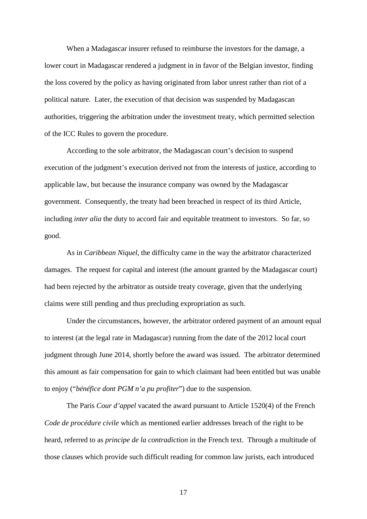When a Madagascar insurer refused to reimburse the investors for the damage, a lower court in Madagascar rendered a judgment in in favor of the Belgian investor, finding the loss covered by the policy as having originated from labor unrest rather than riot of a political nature. Later, the execution of that decision was suspended by Madagascan authorities, triggering the arbitration under the investment treaty, which permitted selection of the ICC Rules to govern the procedure.

According to the sole arbitrator, the Madagascan court's decision to suspend execution of the judgment's execution derived not from the interests of justice, according to applicable law, but because the insurance company was owned by the Madagascar government. Consequently, the treaty had been breached in respect of its third Article, including *inter alia* the duty to accord fair and equitable treatment to investors. So far, so good.

As in *Caribbean Niquel*, the difficulty came in the way the arbitrator characterized damages. The request for capital and interest (the amount granted by the Madagascar court) had been rejected by the arbitrator as outside treaty coverage, given that the underlying claims were still pending and thus precluding expropriation as such.

Under the circumstances, however, the arbitrator ordered payment of an amount equal to interest (at the legal rate in Madagascar) running from the date of the 2012 local court judgment through June 2014, shortly before the award was issued. The arbitrator determined this amount as fair compensation for gain to which claimant had been entitled but was unable to enjoy ("*bénéfice dont PGM n'a pu profiter*") due to the suspension.

The Paris *Cour d'appel* vacated the award pursuant to Article 1520(4) of the French *Code de procédure civile* which as mentioned earlier addresses breach of the right to be heard, referred to as *principe de la contradiction* in the French text. Through a multitude of those clauses which provide such difficult reading for common law jurists, each introduced

17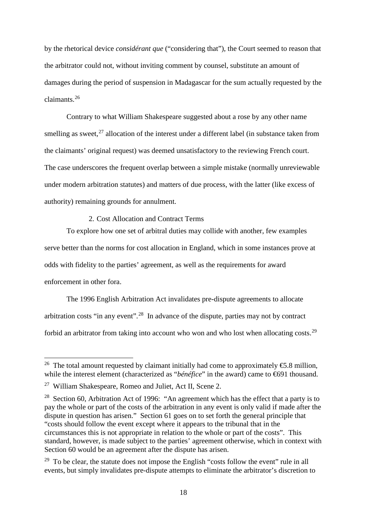by the rhetorical device *considérant que* ("considering that"), the Court seemed to reason that the arbitrator could not, without inviting comment by counsel, substitute an amount of damages during the period of suspension in Madagascar for the sum actually requested by the claimants.[26](#page-19-1) 

Contrary to what William Shakespeare suggested about a rose by any other name smelling as sweet,  $27$  allocation of the interest under a different label (in substance taken from the claimants' original request) was deemed unsatisfactory to the reviewing French court. The case underscores the frequent overlap between a simple mistake (normally unreviewable under modern arbitration statutes) and matters of due process, with the latter (like excess of authority) remaining grounds for annulment.

2. Cost Allocation and Contract Terms

<span id="page-19-0"></span>To explore how one set of arbitral duties may collide with another, few examples serve better than the norms for cost allocation in England, which in some instances prove at odds with fidelity to the parties' agreement, as well as the requirements for award enforcement in other fora.

The 1996 English Arbitration Act invalidates pre-dispute agreements to allocate arbitration costs "in any event".[28](#page-19-3) In advance of the dispute, parties may not by contract forbid an arbitrator from taking into account who won and who lost when allocating costs.<sup>[29](#page-19-4)</sup>

<span id="page-19-1"></span><sup>&</sup>lt;sup>26</sup> The total amount requested by claimant initially had come to approximately  $\bigoplus$ .8 million, while the interest element (characterized as "*bénéfice*" in the award) came to €691 thousand.

<span id="page-19-2"></span> $27$  William Shakespeare, Romeo and Juliet, Act II, Scene 2.

<span id="page-19-3"></span><sup>&</sup>lt;sup>28</sup> Section 60, Arbitration Act of 1996: "An agreement which has the effect that a party is to pay the whole or part of the costs of the arbitration in any event is only valid if made after the dispute in question has arisen." Section 61 goes on to set forth the general principle that "costs should follow the event except where it appears to the tribunal that in the circumstances this is not appropriate in relation to the whole or part of the costs". This standard, however, is made subject to the parties' agreement otherwise, which in context with Section 60 would be an agreement after the dispute has arisen.

<span id="page-19-4"></span> $29$  To be clear, the statute does not impose the English "costs follow the event" rule in all events, but simply invalidates pre-dispute attempts to eliminate the arbitrator's discretion to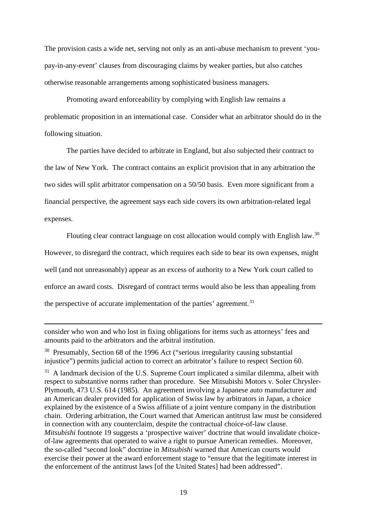The provision casts a wide net, serving not only as an anti-abuse mechanism to prevent 'youpay-in-any-event' clauses from discouraging claims by weaker parties, but also catches otherwise reasonable arrangements among sophisticated business managers.

Promoting award enforceability by complying with English law remains a problematic proposition in an international case. Consider what an arbitrator should do in the following situation.

The parties have decided to arbitrate in England, but also subjected their contract to the law of New York. The contract contains an explicit provision that in any arbitration the two sides will split arbitrator compensation on a 50/50 basis. Even more significant from a financial perspective, the agreement says each side covers its own arbitration-related legal expenses.

Flouting clear contract language on cost allocation would comply with English law.<sup>[30](#page-20-0)</sup> However, to disregard the contract, which requires each side to bear its own expenses, might well (and not unreasonably) appear as an excess of authority to a New York court called to enforce an award costs. Disregard of contract terms would also be less than appealing from the perspective of accurate implementation of the parties' agreement.<sup>31</sup>

consider who won and who lost in fixing obligations for items such as attorneys' fees and amounts paid to the arbitrators and the arbitral institution.

-

<span id="page-20-0"></span><sup>30</sup> Presumably, Section 68 of the 1996 Act ("serious irregularity causing substantial injustice") permits judicial action to correct an arbitrator's failure to respect Section 60.

<span id="page-20-1"></span> $31$  A landmark decision of the U.S. Supreme Court implicated a similar dilemma, albeit with respect to substantive norms rather than procedure. See Mitsubishi Motors v. Soler Chrysler-Plymouth, 473 U.S. 614 (1985). An agreement involving a Japanese auto manufacturer and an American dealer provided for application of Swiss law by arbitrators in Japan, a choice explained by the existence of a Swiss affiliate of a joint venture company in the distribution chain. Ordering arbitration, the Court warned that American antitrust law must be considered in connection with any counterclaim, despite the contractual choice-of-law clause. *Mitsubishi* footnote 19 suggests a 'prospective waiver' doctrine that would invalidate choiceof-law agreements that operated to waive a right to pursue American remedies. Moreover, the so-called "second look" doctrine in *Mitsubishi* warned that American courts would exercise their power at the award enforcement stage to "ensure that the legitimate interest in the enforcement of the antitrust laws [of the United States] had been addressed".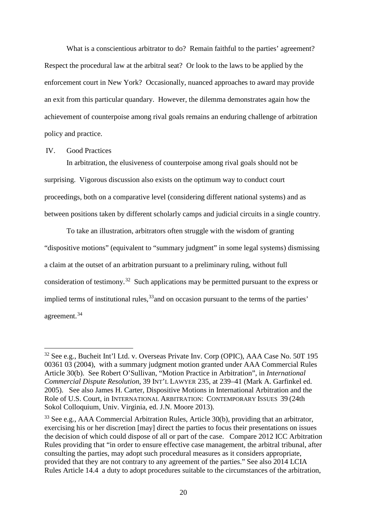What is a conscientious arbitrator to do? Remain faithful to the parties' agreement? Respect the procedural law at the arbitral seat? Or look to the laws to be applied by the enforcement court in New York? Occasionally, nuanced approaches to award may provide an exit from this particular quandary. However, the dilemma demonstrates again how the achievement of counterpoise among rival goals remains an enduring challenge of arbitration policy and practice.

#### <span id="page-21-0"></span>IV. Good Practices

In arbitration, the elusiveness of counterpoise among rival goals should not be surprising. Vigorous discussion also exists on the optimum way to conduct court proceedings, both on a comparative level (considering different national systems) and as between positions taken by different scholarly camps and judicial circuits in a single country.

<span id="page-21-3"></span>To take an illustration, arbitrators often struggle with the wisdom of granting "dispositive motions" (equivalent to "summary judgment" in some legal systems) dismissing a claim at the outset of an arbitration pursuant to a preliminary ruling, without full consideration of testimony. [32](#page-21-1) Such applications may be permitted pursuant to the express or implied terms of institutional rules,  $33$  and on occasion pursuant to the terms of the parties' agreement.[34](#page-21-3)

<span id="page-21-1"></span> <sup>32</sup> See e.g., Bucheit Int'l Ltd. v. Overseas Private Inv. Corp (OPIC), AAA Case No. 50T 195 00361 03 (2004), with a summary judgment motion granted under AAA Commercial Rules Article 30(b). See Robert O'Sullivan, "Motion Practice in Arbitration", in *International Commercial Dispute Resolution*, 39 INT'L LAWYER 235, at 239–41 (Mark A. Garfinkel ed. 2005). See also James H. Carter, Dispositive Motions in International Arbitration and the Role of U.S. Court, in INTERNATIONAL ARBITRATION: CONTEMPORARY ISSUES 39 (24th Sokol Colloquium, Univ. Virginia, ed. J.N. Moore 2013).

<span id="page-21-2"></span><sup>&</sup>lt;sup>33</sup> See e.g., AAA Commercial Arbitration Rules, Article 30(b), providing that an arbitrator, exercising his or her discretion [may] direct the parties to focus their presentations on issues the decision of which could dispose of all or part of the case. Compare 2012 ICC Arbitration Rules providing that "in order to ensure effective case management, the arbitral tribunal, after consulting the parties, may adopt such procedural measures as it considers appropriate, provided that they are not contrary to any agreement of the parties." See also 2014 LCIA Rules Article 14.4 a duty to adopt procedures suitable to the circumstances of the arbitration,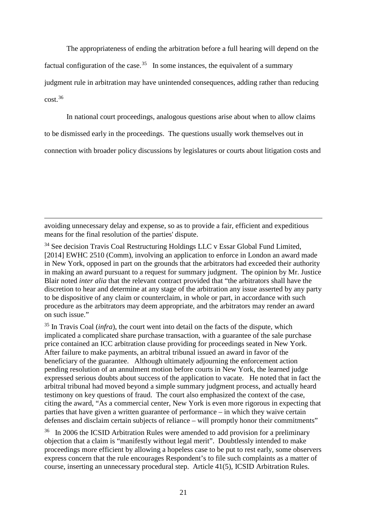The appropriateness of ending the arbitration before a full hearing will depend on the factual configuration of the case.<sup>[35](#page-22-0)</sup> In some instances, the equivalent of a summary judgment rule in arbitration may have unintended consequences, adding rather than reducing  $cost<sup>36</sup>$ 

In national court proceedings, analogous questions arise about when to allow claims

to be dismissed early in the proceedings. The questions usually work themselves out in

connection with broader policy discussions by legislatures or courts about litigation costs and

avoiding unnecessary delay and expense, so as to provide a fair, efficient and expeditious means for the final resolution of the parties' dispute.

-

<sup>34</sup> See decision Travis Coal Restructuring Holdings LLC v Essar Global Fund Limited, [2014] EWHC 2510 (Comm), involving an application to enforce in London an award made in New York, opposed in part on the grounds that the arbitrators had exceeded their authority in making an award pursuant to a request for summary judgment. The opinion by Mr. Justice Blair noted *inter alia* that the relevant contract provided that "the arbitrators shall have the discretion to hear and determine at any stage of the arbitration any issue asserted by any party to be dispositive of any claim or counterclaim, in whole or part, in accordance with such procedure as the arbitrators may deem appropriate, and the arbitrators may render an award on such issue."

<span id="page-22-0"></span><sup>35</sup> In Travis Coal (*infra*), the court went into detail on the facts of the dispute, which implicated a complicated share purchase transaction, with a guarantee of the sale purchase price contained an ICC arbitration clause providing for proceedings seated in New York. After failure to make payments, an arbitral tribunal issued an award in favor of the beneficiary of the guarantee. Although ultimately adjourning the enforcement action pending resolution of an annulment motion before courts in New York, the learned judge expressed serious doubts about success of the application to vacate. He noted that in fact the arbitral tribunal had moved beyond a simple summary judgment process, and actually heard testimony on key questions of fraud. The court also emphasized the context of the case, citing the award, "As a commercial center, New York is even more rigorous in expecting that parties that have given a written guarantee of performance – in which they waive certain defenses and disclaim certain subjects of reliance – will promptly honor their commitments"

<span id="page-22-2"></span><span id="page-22-1"></span><sup>36</sup> In 2006 the ICSID Arbitration Rules were amended to add provision for a preliminary objection that a claim is "manifestly without legal merit". Doubtlessly intended to make proceedings more efficient by allowing a hopeless case to be put to rest early, some observers express concern that the rule encourages Respondent's to file such complaints as a matter of course, inserting an unnecessary procedural step. Article 41(5), ICSID Arbitration Rules.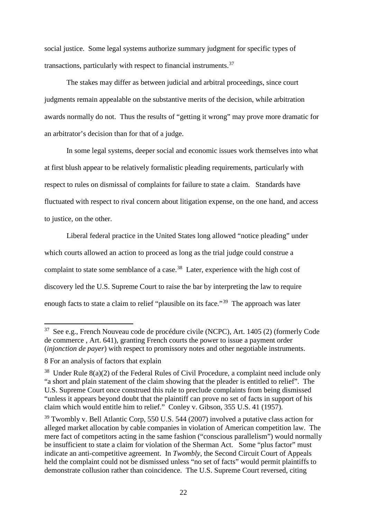social justice. Some legal systems authorize summary judgment for specific types of transactions, particularly with respect to financial instruments.[37](#page-22-2) 

The stakes may differ as between judicial and arbitral proceedings, since court judgments remain appealable on the substantive merits of the decision, while arbitration awards normally do not. Thus the results of "getting it wrong" may prove more dramatic for an arbitrator's decision than for that of a judge.

In some legal systems, deeper social and economic issues work themselves into what at first blush appear to be relatively formalistic pleading requirements, particularly with respect to rules on dismissal of complaints for failure to state a claim. Standards have fluctuated with respect to rival concern about litigation expense, on the one hand, and access to justice, on the other.

Liberal federal practice in the United States long allowed "notice pleading" under which courts allowed an action to proceed as long as the trial judge could construe a complaint to state some semblance of a case.<sup>38</sup> Later, experience with the high cost of discovery led the U.S. Supreme Court to raise the bar by interpreting the law to require enough facts to state a claim to relief "plausible on its face."<sup>39</sup> The approach was later

 <sup>37</sup> See e.g., French Nouveau code de procédure civile (NCPC), Art. 1405 (2) (formerly Code de commerce , Art. 641), granting French courts the power to issue a payment order (*injonction de payer*) with respect to promissory notes and other negotiable instruments.

<sup>8</sup> For an analysis of factors that explain

<span id="page-23-0"></span> $38$  Under Rule 8(a)(2) of the Federal Rules of Civil Procedure, a complaint need include only "a short and plain statement of the claim showing that the pleader is entitled to relief". The U.S. Supreme Court once construed this rule to preclude complaints from being dismissed "unless it appears beyond doubt that the plaintiff can prove no set of facts in support of his claim which would entitle him to relief." Conley v. Gibson, 355 U.S. 41 (1957).

<span id="page-23-1"></span><sup>39</sup> Twombly v. Bell Atlantic Corp, 550 U.S. 544 (2007) involved a putative class action for alleged market allocation by cable companies in violation of American competition law. The mere fact of competitors acting in the same fashion ("conscious parallelism") would normally be insufficient to state a claim for violation of the Sherman Act. Some "plus factor" must indicate an anti-competitive agreement. In *Twombly*, the Second Circuit Court of Appeals held the complaint could not be dismissed unless "no set of facts" would permit plaintiffs to demonstrate collusion rather than coincidence. The U.S. Supreme Court reversed, citing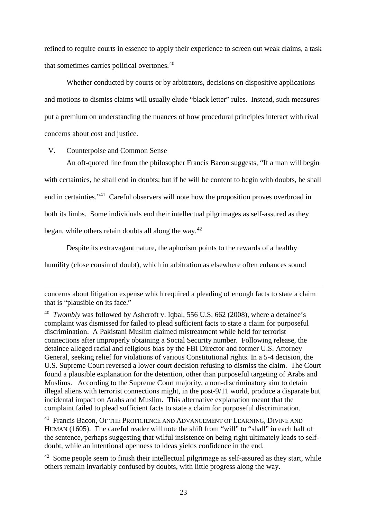refined to require courts in essence to apply their experience to screen out weak claims, a task that sometimes carries political overtones.[40](#page-24-1) 

Whether conducted by courts or by arbitrators, decisions on dispositive applications and motions to dismiss claims will usually elude "black letter" rules. Instead, such measures put a premium on understanding the nuances of how procedural principles interact with rival concerns about cost and justice.

<span id="page-24-0"></span>V. Counterpoise and Common Sense

-

An oft-quoted line from the philosopher Francis Bacon suggests, "If a man will begin with certainties, he shall end in doubts; but if he will be content to begin with doubts, he shall end in certainties."[41](#page-24-2) Careful observers will note how the proposition proves overbroad in both its limbs. Some individuals end their intellectual pilgrimages as self-assured as they began, while others retain doubts all along the way.<sup>[42](#page-24-3)</sup>

Despite its extravagant nature, the aphorism points to the rewards of a healthy humility (close cousin of doubt), which in arbitration as elsewhere often enhances sound

<span id="page-24-2"></span><sup>41</sup> Francis Bacon, OF THE PROFICIENCE AND ADVANCEMENT OF LEARNING, DIVINE AND HUMAN (1605). The careful reader will note the shift from "will" to "shall" in each half of the sentence, perhaps suggesting that wilful insistence on being right ultimately leads to selfdoubt, while an intentional openness to ideas yields confidence in the end.

<span id="page-24-3"></span><sup>42</sup> Some people seem to finish their intellectual pilgrimage as self-assured as they start, while others remain invariably confused by doubts, with little progress along the way.

concerns about litigation expense which required a pleading of enough facts to state a claim that is "plausible on its face."

<span id="page-24-1"></span><sup>&</sup>lt;sup>40</sup> *Twombly* was followed by Ashcroft v. Iqbal, 556 U.S. 662 (2008), where a detainee's complaint was dismissed for failed to plead sufficient facts to state a claim for purposeful discrimination. A Pakistani Muslim claimed mistreatment while held for terrorist connections after improperly obtaining a Social Security number. Following release, the detainee alleged racial and religious bias by the FBI Director and former U.S. Attorney General, seeking relief for violations of various Constitutional rights. In a 5-4 decision, the U.S. Supreme Court reversed a lower court decision refusing to dismiss the claim. The Court found a plausible explanation for the detention, other than purposeful targeting of Arabs and Muslims. According to the Supreme Court majority, a non-discriminatory aim to detain illegal aliens with terrorist connections might, in the post-9/11 world, produce a disparate but incidental impact on Arabs and Muslim. This alternative explanation meant that the complaint failed to plead sufficient facts to state a claim for purposeful discrimination.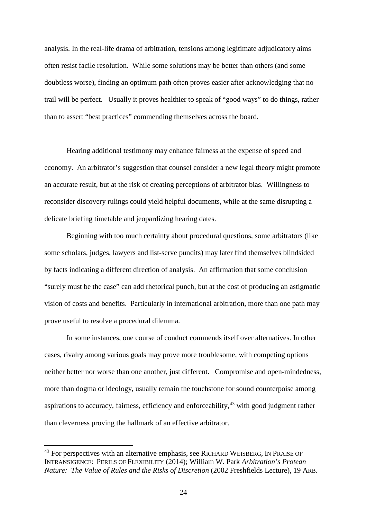analysis. In the real-life drama of arbitration, tensions among legitimate adjudicatory aims often resist facile resolution. While some solutions may be better than others (and some doubtless worse), finding an optimum path often proves easier after acknowledging that no trail will be perfect. Usually it proves healthier to speak of "good ways" to do things, rather than to assert "best practices" commending themselves across the board.

Hearing additional testimony may enhance fairness at the expense of speed and economy. An arbitrator's suggestion that counsel consider a new legal theory might promote an accurate result, but at the risk of creating perceptions of arbitrator bias. Willingness to reconsider discovery rulings could yield helpful documents, while at the same disrupting a delicate briefing timetable and jeopardizing hearing dates.

Beginning with too much certainty about procedural questions, some arbitrators (like some scholars, judges, lawyers and list-serve pundits) may later find themselves blindsided by facts indicating a different direction of analysis. An affirmation that some conclusion "surely must be the case" can add rhetorical punch, but at the cost of producing an astigmatic vision of costs and benefits. Particularly in international arbitration, more than one path may prove useful to resolve a procedural dilemma.

In some instances, one course of conduct commends itself over alternatives. In other cases, rivalry among various goals may prove more troublesome, with competing options neither better nor worse than one another, just different. Compromise and open-mindedness, more than dogma or ideology, usually remain the touchstone for sound counterpoise among aspirations to accuracy, fairness, efficiency and enforceability,<sup>[43](#page-25-0)</sup> with good judgment rather than cleverness proving the hallmark of an effective arbitrator.

<span id="page-25-0"></span><sup>&</sup>lt;sup>43</sup> For perspectives with an alternative emphasis, see RICHARD WEISBERG, IN PRAISE OF INTRANSIGENCE: PERILS OF FLEXIBILITY (2014); William W. Park *Arbitration's Protean Nature: The Value of Rules and the Risks of Discretion* (2002 Freshfields Lecture), 19 ARB.